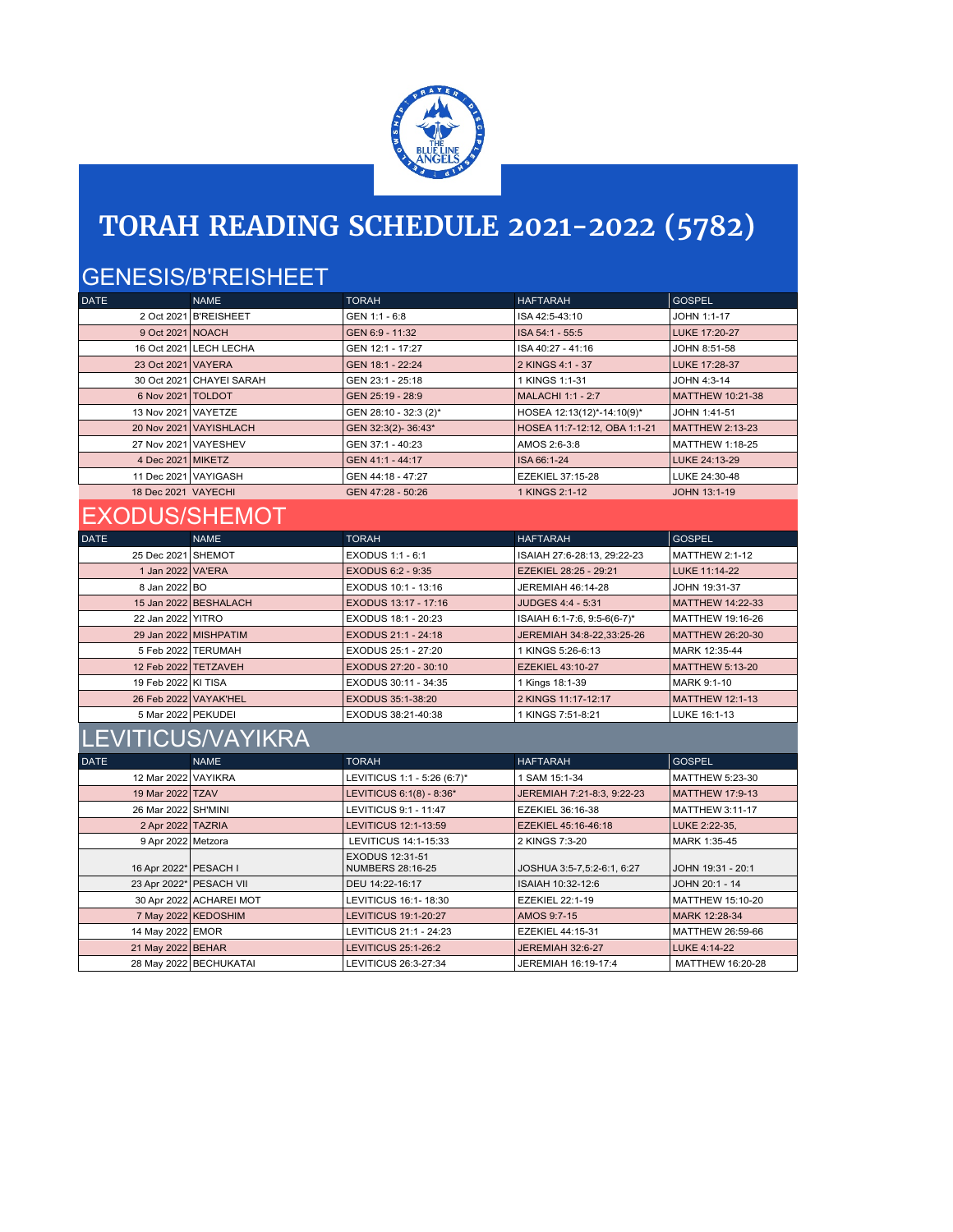

# **TORAH READING SCHEDULE 2021-2022 (5782)**

## GENESIS/B'REISHEET

| <b>DATE</b>          | <b>NAME</b>              | <b>TORAH</b>          | <b>HAFTARAH</b>              | <b>GOSPEL</b>          |
|----------------------|--------------------------|-----------------------|------------------------------|------------------------|
|                      | 2 Oct 2021 B'REISHEET    | GEN 1:1 - 6:8         | ISA 42:5-43:10               | JOHN 1:1-17            |
| 9 Oct 2021 NOACH     |                          | GEN 6:9 - 11:32       | ISA 54:1 - 55:5              | LUKE 17:20-27          |
|                      | 16 Oct 2021 LECH LECHA   | GEN 12:1 - 17:27      | ISA 40:27 - 41:16            | JOHN 8:51-58           |
| 23 Oct 2021 VAYERA   |                          | GEN 18:1 - 22:24      | 2 KINGS 4:1 - 37             | LUKE 17:28-37          |
|                      | 30 Oct 2021 CHAYEI SARAH | GEN 23:1 - 25:18      | 1 KINGS 1:1-31               | JOHN 4:3-14            |
| 6 Nov 2021 TOLDOT    |                          | GEN 25:19 - 28:9      | MALACHI 1:1 - 2:7            | MATTHEW 10:21-38       |
| 13 Nov 2021 VAYETZE  |                          | GEN 28:10 - 32:3 (2)* | HOSEA 12:13(12)*-14:10(9)*   | JOHN 1:41-51           |
|                      | 20 Nov 2021 VAYISHLACH   | GEN 32:3(2)-36:43*    | HOSEA 11:7-12:12, OBA 1:1-21 | <b>MATTHEW 2:13-23</b> |
|                      | 27 Nov 2021 VAYESHEV     | GEN 37:1 - 40:23      | AMOS 2:6-3:8                 | MATTHEW 1:18-25        |
| 4 Dec 2021 MIKETZ    |                          | GEN 41:1 - 44:17      | ISA 66:1-24                  | LUKE 24:13-29          |
| 11 Dec 2021 VAYIGASH |                          | GEN 44:18 - 47:27     | EZEKIEL 37:15-28             | LUKE 24:30-48          |
| 18 Dec 2021 VAYECHI  |                          | GEN 47:28 - 50:26     | 1 KINGS 2:1-12               | JOHN 13:1-19           |

# EXODUS/SHEMOT

| <b>DATE</b>         | <b>NAME</b>           | <b>TORAH</b>         | <b>HAFTARAH</b>             | <b>GOSPEL</b>          |
|---------------------|-----------------------|----------------------|-----------------------------|------------------------|
| 25 Dec 2021 SHEMOT  |                       | EXODUS 1:1 - 6:1     | ISAIAH 27:6-28:13, 29:22-23 | MATTHEW 2:1-12         |
| 1 Jan 2022 VA'ERA   |                       | EXODUS 6:2 - 9:35    | EZEKIEL 28:25 - 29:21       | <b>LUKE 11:14-22</b>   |
| 8 Jan 2022 BO       |                       | EXODUS 10:1 - 13:16  | JEREMIAH 46:14-28           | JOHN 19:31-37          |
|                     | 15 Jan 2022 BESHALACH | EXODUS 13:17 - 17:16 | JUDGES 4:4 - 5:31           | MATTHEW 14:22-33       |
| 22 Jan 2022 YITRO   |                       | EXODUS 18:1 - 20:23  | ISAIAH 6:1-7:6, 9:5-6(6-7)* | MATTHEW 19:16-26       |
|                     | 29 Jan 2022 MISHPATIM | EXODUS 21:1 - 24:18  | JEREMIAH 34:8-22,33:25-26   | MATTHEW 26:20-30       |
|                     | 5 Feb 2022 TERUMAH    | EXODUS 25:1 - 27:20  | 1 KINGS 5:26-6:13           | MARK 12:35-44          |
|                     | 12 Feb 2022 TETZAVEH  | EXODUS 27:20 - 30:10 | <b>EZEKIEL 43:10-27</b>     | MATTHEW 5:13-20        |
| 19 Feb 2022 KI TISA |                       | EXODUS 30:11 - 34:35 | 1 Kings 18:1-39             | MARK 9:1-10            |
|                     | 26 Feb 2022 VAYAK'HEL | EXODUS 35:1-38:20    | 2 KINGS 11:17-12:17         | <b>MATTHEW 12:1-13</b> |
| 5 Mar 2022 PEKUDEI  |                       | EXODUS 38:21-40:38   | 1 KINGS 7:51-8:21           | LUKE 16:1-13           |

### LEVITICUS/VAYIKRA

| <b>DATE</b>           | <b>NAME</b>             | <b>TORAH</b>                        | <b>HAFTARAH</b>            | <b>GOSPEL</b>          |
|-----------------------|-------------------------|-------------------------------------|----------------------------|------------------------|
| 12 Mar 2022 VAYIKRA   |                         | LEVITICUS 1:1 - 5:26 (6:7)*         | 1 SAM 15:1-34              | MATTHEW 5:23-30        |
| 19 Mar 2022 TZAV      |                         | LEVITICUS 6:1(8) - 8:36*            | JEREMIAH 7:21-8:3, 9:22-23 | <b>MATTHEW 17:9-13</b> |
| 26 Mar 2022 SH'MINI   |                         | LEVITICUS 9:1 - 11:47               | EZEKIEL 36:16-38           | <b>MATTHEW 3:11-17</b> |
| 2 Apr 2022 TAZRIA     |                         | LEVITICUS 12:1-13:59                | EZEKIEL 45:16-46:18        | LUKE 2:22-35.          |
| 9 Apr 2022 Metzora    |                         | LEVITICUS 14:1-15:33                | 2 KINGS 7:3-20             | MARK 1:35-45           |
| 16 Apr 2022* PESACH I |                         | EXODUS 12:31-51<br>NUMBERS 28:16-25 | JOSHUA 3:5-7,5:2-6:1, 6:27 | JOHN 19:31 - 20:1      |
|                       | 23 Apr 2022* PESACH VII | DEU 14:22-16:17                     | ISAIAH 10:32-12:6          | JOHN 20:1 - 14         |
|                       | 30 Apr 2022 ACHAREI MOT | LEVITICUS 16:1-18:30                | EZEKIEL 22:1-19            | MATTHEW 15:10-20       |
|                       | 7 May 2022 KEDOSHIM     | LEVITICUS 19:1-20:27                | AMOS 9:7-15                | MARK 12:28-34          |
| 14 May 2022 EMOR      |                         | LEVITICUS 21:1 - 24:23              | EZEKIEL 44:15-31           | MATTHEW 26:59-66       |
| 21 May 2022 BEHAR     |                         | <b>LEVITICUS 25:1-26:2</b>          | <b>JEREMIAH 32:6-27</b>    | LUKE 4:14-22           |
|                       | 28 May 2022 BECHUKATAI  | LEVITICUS 26:3-27:34                | JEREMIAH 16:19-17:4        | MATTHEW 16:20-28       |